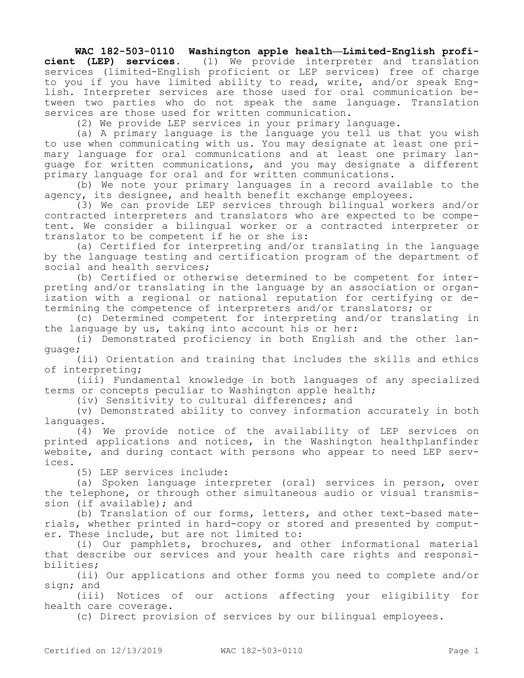## **WAC 182-503-0110 Washington apple health—Limited-English proficient (LEP) services.** (1) We provide interpreter and translation services (limited-English proficient or LEP services) free of charge to you if you have limited ability to read, write, and/or speak English. Interpreter services are those used for oral communication between two parties who do not speak the same language. Translation

services are those used for written communication.

(2) We provide LEP services in your primary language.

(a) A primary language is the language you tell us that you wish to use when communicating with us. You may designate at least one primary language for oral communications and at least one primary language for written communications, and you may designate a different primary language for oral and for written communications.

(b) We note your primary languages in a record available to the agency, its designee, and health benefit exchange employees.

(3) We can provide LEP services through bilingual workers and/or contracted interpreters and translators who are expected to be competent. We consider a bilingual worker or a contracted interpreter or translator to be competent if he or she is:

(a) Certified for interpreting and/or translating in the language by the language testing and certification program of the department of social and health services;

(b) Certified or otherwise determined to be competent for interpreting and/or translating in the language by an association or organization with a regional or national reputation for certifying or determining the competence of interpreters and/or translators; or

(c) Determined competent for interpreting and/or translating in the language by us, taking into account his or her:

(i) Demonstrated proficiency in both English and the other language;

(ii) Orientation and training that includes the skills and ethics of interpreting;

(iii) Fundamental knowledge in both languages of any specialized terms or concepts peculiar to Washington apple health;

(iv) Sensitivity to cultural differences; and

(v) Demonstrated ability to convey information accurately in both languages.

(4) We provide notice of the availability of LEP services on printed applications and notices, in the Washington healthplanfinder website, and during contact with persons who appear to need LEP services.

(5) LEP services include:

(a) Spoken language interpreter (oral) services in person, over the telephone, or through other simultaneous audio or visual transmission (if available); and

(b) Translation of our forms, letters, and other text-based materials, whether printed in hard-copy or stored and presented by computer. These include, but are not limited to:

(i) Our pamphlets, brochures, and other informational material that describe our services and your health care rights and responsibilities;

(ii) Our applications and other forms you need to complete and/or sign; and

(iii) Notices of our actions affecting your eligibility for health care coverage.

(c) Direct provision of services by our bilingual employees.